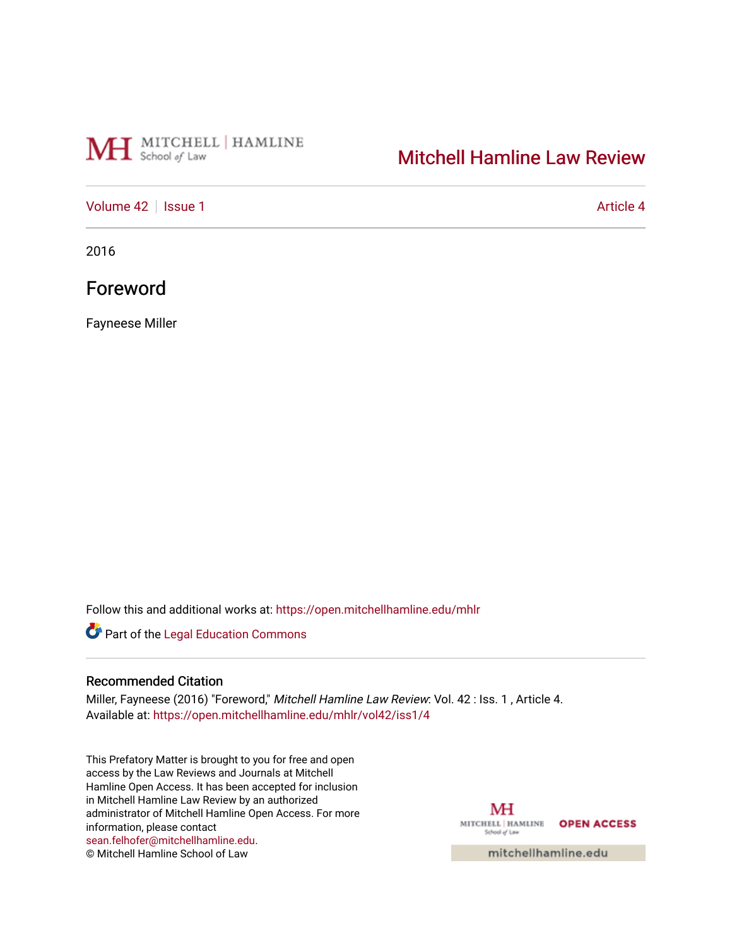# MH School of Law

## [Mitchell Hamline Law Review](https://open.mitchellhamline.edu/mhlr)

### [Volume 42](https://open.mitchellhamline.edu/mhlr/vol42) | [Issue 1](https://open.mitchellhamline.edu/mhlr/vol42/iss1) Article 4

2016

## Foreword

Fayneese Miller

Follow this and additional works at: [https://open.mitchellhamline.edu/mhlr](https://open.mitchellhamline.edu/mhlr?utm_source=open.mitchellhamline.edu%2Fmhlr%2Fvol42%2Fiss1%2F4&utm_medium=PDF&utm_campaign=PDFCoverPages) 

Part of the [Legal Education Commons](http://network.bepress.com/hgg/discipline/857?utm_source=open.mitchellhamline.edu%2Fmhlr%2Fvol42%2Fiss1%2F4&utm_medium=PDF&utm_campaign=PDFCoverPages) 

#### Recommended Citation

Miller, Fayneese (2016) "Foreword," Mitchell Hamline Law Review: Vol. 42 : Iss. 1 , Article 4. Available at: [https://open.mitchellhamline.edu/mhlr/vol42/iss1/4](https://open.mitchellhamline.edu/mhlr/vol42/iss1/4?utm_source=open.mitchellhamline.edu%2Fmhlr%2Fvol42%2Fiss1%2F4&utm_medium=PDF&utm_campaign=PDFCoverPages) 

This Prefatory Matter is brought to you for free and open access by the Law Reviews and Journals at Mitchell Hamline Open Access. It has been accepted for inclusion in Mitchell Hamline Law Review by an authorized administrator of Mitchell Hamline Open Access. For more information, please contact [sean.felhofer@mitchellhamline.edu](mailto:sean.felhofer@mitchellhamline.edu). © Mitchell Hamline School of Law

MH MITCHELL | HAMLINE OPEN ACCESS School of Law

mitchellhamline.edu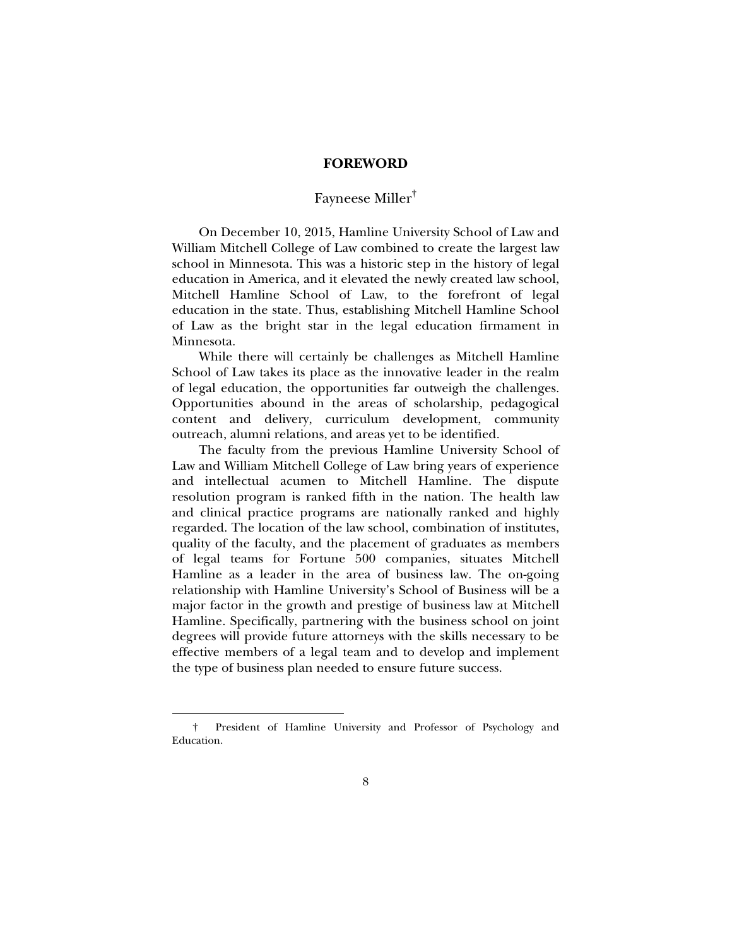#### **FOREWORD**

### Fayneese Miller†

On December 10, 2015, Hamline University School of Law and William Mitchell College of Law combined to create the largest law school in Minnesota. This was a historic step in the history of legal education in America, and it elevated the newly created law school, Mitchell Hamline School of Law, to the forefront of legal education in the state. Thus, establishing Mitchell Hamline School of Law as the bright star in the legal education firmament in Minnesota.

While there will certainly be challenges as Mitchell Hamline School of Law takes its place as the innovative leader in the realm of legal education, the opportunities far outweigh the challenges. Opportunities abound in the areas of scholarship, pedagogical content and delivery, curriculum development, community outreach, alumni relations, and areas yet to be identified.

The faculty from the previous Hamline University School of Law and William Mitchell College of Law bring years of experience and intellectual acumen to Mitchell Hamline. The dispute resolution program is ranked fifth in the nation. The health law and clinical practice programs are nationally ranked and highly regarded. The location of the law school, combination of institutes, quality of the faculty, and the placement of graduates as members of legal teams for Fortune 500 companies, situates Mitchell Hamline as a leader in the area of business law. The on-going relationship with Hamline University's School of Business will be a major factor in the growth and prestige of business law at Mitchell Hamline. Specifically, partnering with the business school on joint degrees will provide future attorneys with the skills necessary to be effective members of a legal team and to develop and implement the type of business plan needed to ensure future success.

j

 <sup>†</sup> President of Hamline University and Professor of Psychology and Education.